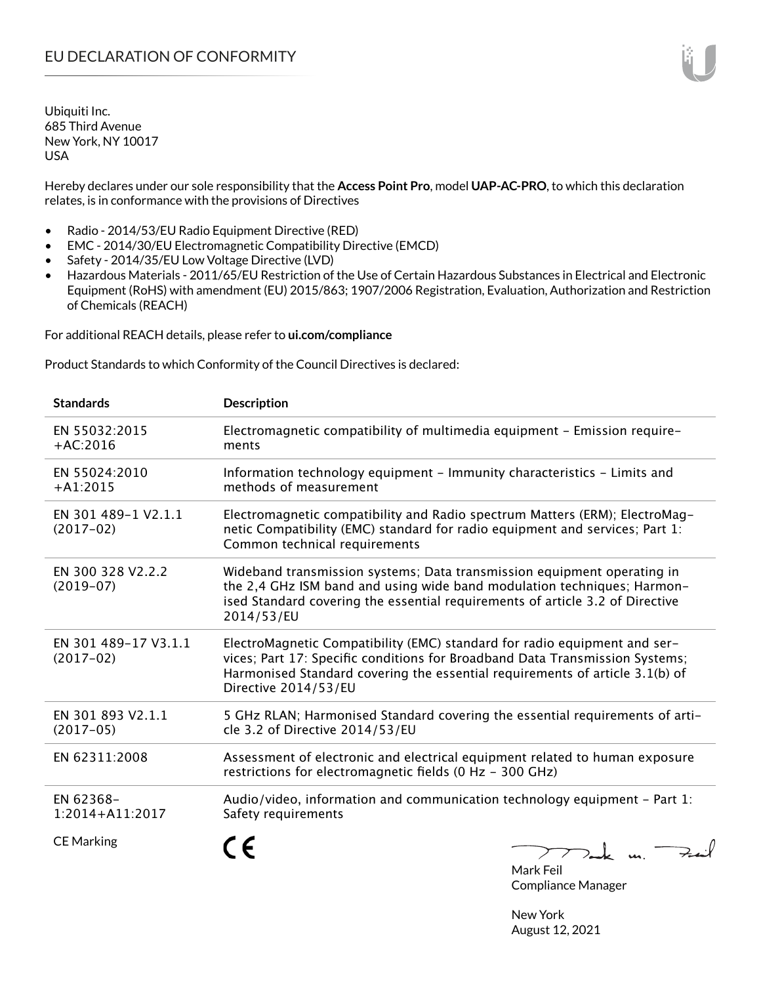Hereby declares under our sole responsibility that the **Access Point Pro**, model **UAP-AC-PRO**, to which this declaration relates, is in conformance with the provisions of Directives

- Radio 2014/53/EU Radio Equipment Directive (RED)
- EMC 2014/30/EU Electromagnetic Compatibility Directive (EMCD)
- Safety 2014/35/EU Low Voltage Directive (LVD)
- Hazardous Materials 2011/65/EU Restriction of the Use of Certain Hazardous Substances in Electrical and Electronic Equipment (RoHS) with amendment (EU) 2015/863; 1907/2006 Registration, Evaluation, Authorization and Restriction of Chemicals (REACH)

For additional REACH details, please refer to **ui.com/compliance**

Product Standards to which Conformity of the Council Directives is declared:

| <b>Standards</b>                    | <b>Description</b>                                                                                                                                                                                                                                                |
|-------------------------------------|-------------------------------------------------------------------------------------------------------------------------------------------------------------------------------------------------------------------------------------------------------------------|
| EN 55032:2015<br>$+AC:2016$         | Electromagnetic compatibility of multimedia equipment - Emission require-<br>ments                                                                                                                                                                                |
| EN 55024:2010<br>$+A1:2015$         | Information technology equipment - Immunity characteristics - Limits and<br>methods of measurement                                                                                                                                                                |
| EN 301 489-1 V2.1.1<br>$(2017-02)$  | Electromagnetic compatibility and Radio spectrum Matters (ERM); ElectroMag-<br>netic Compatibility (EMC) standard for radio equipment and services; Part 1:<br>Common technical requirements                                                                      |
| EN 300 328 V2.2.2<br>$(2019-07)$    | Wideband transmission systems; Data transmission equipment operating in<br>the 2,4 GHz ISM band and using wide band modulation techniques; Harmon-<br>ised Standard covering the essential requirements of article 3.2 of Directive<br>2014/53/EU                 |
| EN 301 489-17 V3.1.1<br>$(2017-02)$ | ElectroMagnetic Compatibility (EMC) standard for radio equipment and ser-<br>vices; Part 17: Specific conditions for Broadband Data Transmission Systems;<br>Harmonised Standard covering the essential requirements of article 3.1(b) of<br>Directive 2014/53/EU |
| EN 301 893 V2.1.1<br>$(2017-05)$    | 5 GHz RLAN; Harmonised Standard covering the essential requirements of arti-<br>cle 3.2 of Directive 2014/53/EU                                                                                                                                                   |
| EN 62311:2008                       | Assessment of electronic and electrical equipment related to human exposure<br>restrictions for electromagnetic fields (0 Hz - 300 GHz)                                                                                                                           |
| EN 62368-<br>1:2014+A11:2017        | Audio/video, information and communication technology equipment - Part 1:<br>Safety requirements                                                                                                                                                                  |
| <b>CE Marking</b>                   | mak m. Fail                                                                                                                                                                                                                                                       |

Mark Feil Compliance Manager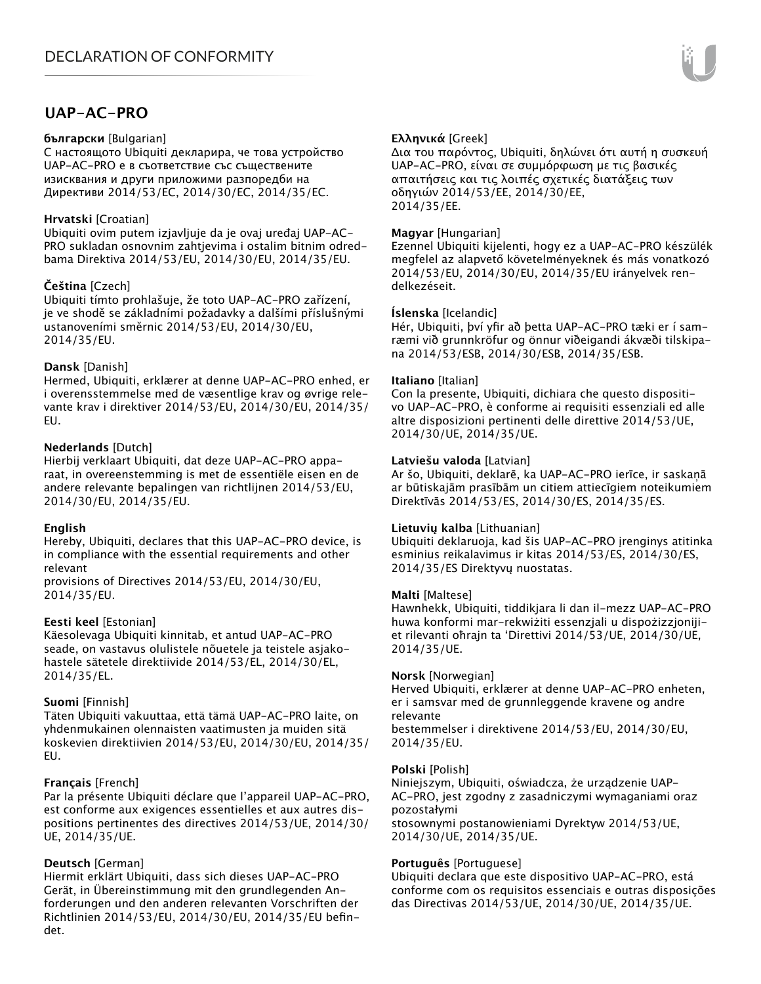# **UAP-AC-PRO**

#### **български** [Bulgarian]

С настоящото Ubiquiti декларира, че това устройство UAP-AC-PRO е в съответствие със съществените изисквания и други приложими разпоредби на Директиви 2014/53/EC, 2014/30/ЕС, 2014/35/ЕС.

### **Hrvatski** [Croatian]

Ubiquiti ovim putem izjavljuje da je ovaj uređaj UAP-AC-PRO sukladan osnovnim zahtjevima i ostalim bitnim odredbama Direktiva 2014/53/EU, 2014/30/EU, 2014/35/EU.

### **Čeština** [Czech]

Ubiquiti tímto prohlašuje, že toto UAP-AC-PRO zařízení, je ve shodě se základními požadavky a dalšími příslušnými ustanoveními směrnic 2014/53/EU, 2014/30/EU, 2014/35/EU.

### **Dansk** [Danish]

Hermed, Ubiquiti, erklærer at denne UAP-AC-PRO enhed, er i overensstemmelse med de væsentlige krav og øvrige relevante krav i direktiver 2014/53/EU, 2014/30/EU, 2014/35/ EU.

#### **Nederlands** [Dutch]

Hierbij verklaart Ubiquiti, dat deze UAP-AC-PRO apparaat, in overeenstemming is met de essentiële eisen en de andere relevante bepalingen van richtlijnen 2014/53/EU, 2014/30/EU, 2014/35/EU.

#### **English**

Hereby, Ubiquiti, declares that this UAP-AC-PRO device, is in compliance with the essential requirements and other relevant

provisions of Directives 2014/53/EU, 2014/30/EU, 2014/35/EU.

### **Eesti keel** [Estonian]

Käesolevaga Ubiquiti kinnitab, et antud UAP-AC-PRO seade, on vastavus olulistele nõuetele ja teistele asjakohastele sätetele direktiivide 2014/53/EL, 2014/30/EL, 2014/35/EL.

#### **Suomi** [Finnish]

Täten Ubiquiti vakuuttaa, että tämä UAP-AC-PRO laite, on yhdenmukainen olennaisten vaatimusten ja muiden sitä koskevien direktiivien 2014/53/EU, 2014/30/EU, 2014/35/ EU.

### **Français** [French]

Par la présente Ubiquiti déclare que l'appareil UAP-AC-PRO, est conforme aux exigences essentielles et aux autres dispositions pertinentes des directives 2014/53/UE, 2014/30/ UE, 2014/35/UE.

### **Deutsch** [German]

Hiermit erklärt Ubiquiti, dass sich dieses UAP-AC-PRO Gerät, in Übereinstimmung mit den grundlegenden Anforderungen und den anderen relevanten Vorschriften der Richtlinien 2014/53/EU, 2014/30/EU, 2014/35/EU befindet.

## **Ελληνικά** [Greek]

Δια του παρόντος, Ubiquiti, δηλώνει ότι αυτή η συσκευή UAP-AC-PRO, είναι σε συμμόρφωση με τις βασικές απαιτήσεις και τις λοιπές σχετικές διατάξεις των οδηγιών 2014/53/EE, 2014/30/EE, 2014/35/EE.

#### **Magyar** [Hungarian]

Ezennel Ubiquiti kijelenti, hogy ez a UAP-AC-PRO készülék megfelel az alapvető követelményeknek és más vonatkozó 2014/53/EU, 2014/30/EU, 2014/35/EU irányelvek rendelkezéseit.

#### **Íslenska** [Icelandic]

Hér, Ubiquiti, því yfir að þetta UAP-AC-PRO tæki er í samræmi við grunnkröfur og önnur viðeigandi ákvæði tilskipana 2014/53/ESB, 2014/30/ESB, 2014/35/ESB.

#### **Italiano** [Italian]

Con la presente, Ubiquiti, dichiara che questo dispositivo UAP-AC-PRO, è conforme ai requisiti essenziali ed alle altre disposizioni pertinenti delle direttive 2014/53/UE, 2014/30/UE, 2014/35/UE.

#### **Latviešu valoda** [Latvian]

Ar šo, Ubiquiti, deklarē, ka UAP-AC-PRO ierīce, ir saskaņā ar būtiskajām prasībām un citiem attiecīgiem noteikumiem Direktīvās 2014/53/ES, 2014/30/ES, 2014/35/ES.

#### **Lietuvių kalba** [Lithuanian]

Ubiquiti deklaruoja, kad šis UAP-AC-PRO įrenginys atitinka esminius reikalavimus ir kitas 2014/53/ES, 2014/30/ES, 2014/35/ES Direktyvų nuostatas.

#### **Malti** [Maltese]

Hawnhekk, Ubiquiti, tiddikjara li dan il-mezz UAP-AC-PRO huwa konformi mar-rekwiżiti essenzjali u dispożizzjonijiet rilevanti oħrajn ta 'Direttivi 2014/53/UE, 2014/30/UE, 2014/35/UE.

#### **Norsk** [Norwegian]

Herved Ubiquiti, erklærer at denne UAP-AC-PRO enheten, er i samsvar med de grunnleggende kravene og andre relevante

bestemmelser i direktivene 2014/53/EU, 2014/30/EU, 2014/35/EU.

#### **Polski** [Polish]

Niniejszym, Ubiquiti, oświadcza, że urządzenie UAP-AC-PRO, jest zgodny z zasadniczymi wymaganiami oraz pozostałymi stosownymi postanowieniami Dyrektyw 2014/53/UE,

2014/30/UE, 2014/35/UE.

### **Português** [Portuguese]

Ubiquiti declara que este dispositivo UAP-AC-PRO, está conforme com os requisitos essenciais e outras disposições das Directivas 2014/53/UE, 2014/30/UE, 2014/35/UE.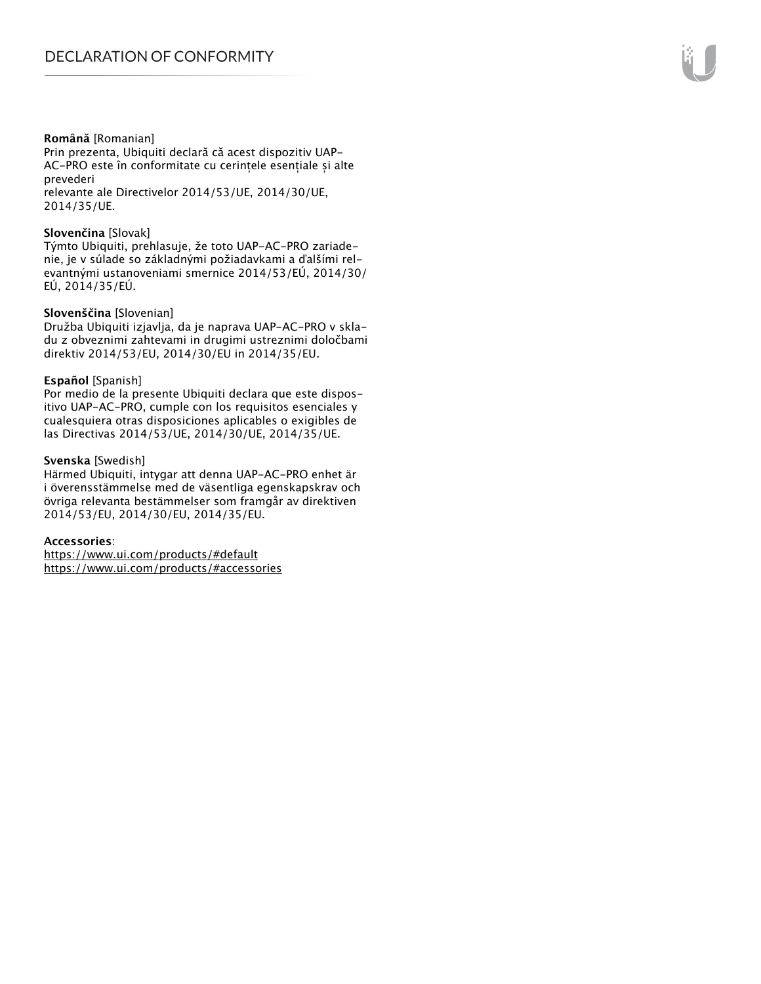#### **Română** [Romanian]

Prin prezenta, Ubiquiti declară că acest dispozitiv UAP-AC-PRO este în conformitate cu cerințele esențiale și alte prevederi relevante ale Directivelor 2014/53/UE, 2014/30/UE,

2014/35/UE.

#### **Slovenčina** [Slovak]

Týmto Ubiquiti, prehlasuje, že toto UAP-AC-PRO zariadenie, je v súlade so základnými požiadavkami a ďalšími relevantnými ustanoveniami smernice 2014/53/EÚ, 2014/30/ EÚ, 2014/35/EÚ.

#### **Slovenščina** [Slovenian]

Družba Ubiquiti izjavlja, da je naprava UAP-AC-PRO v skladu z obveznimi zahtevami in drugimi ustreznimi določbami direktiv 2014/53/EU, 2014/30/EU in 2014/35/EU.

#### **Español** [Spanish]

Por medio de la presente Ubiquiti declara que este dispositivo UAP-AC-PRO, cumple con los requisitos esenciales y cualesquiera otras disposiciones aplicables o exigibles de las Directivas 2014/53/UE, 2014/30/UE, 2014/35/UE.

#### **Svenska** [Swedish]

Härmed Ubiquiti, intygar att denna UAP-AC-PRO enhet är i överensstämmelse med de väsentliga egenskapskrav och övriga relevanta bestämmelser som framgår av direktiven 2014/53/EU, 2014/30/EU, 2014/35/EU.

#### **Accessories**:

https://www.ui.com/products/#default https://www.ui.com/products/#accessories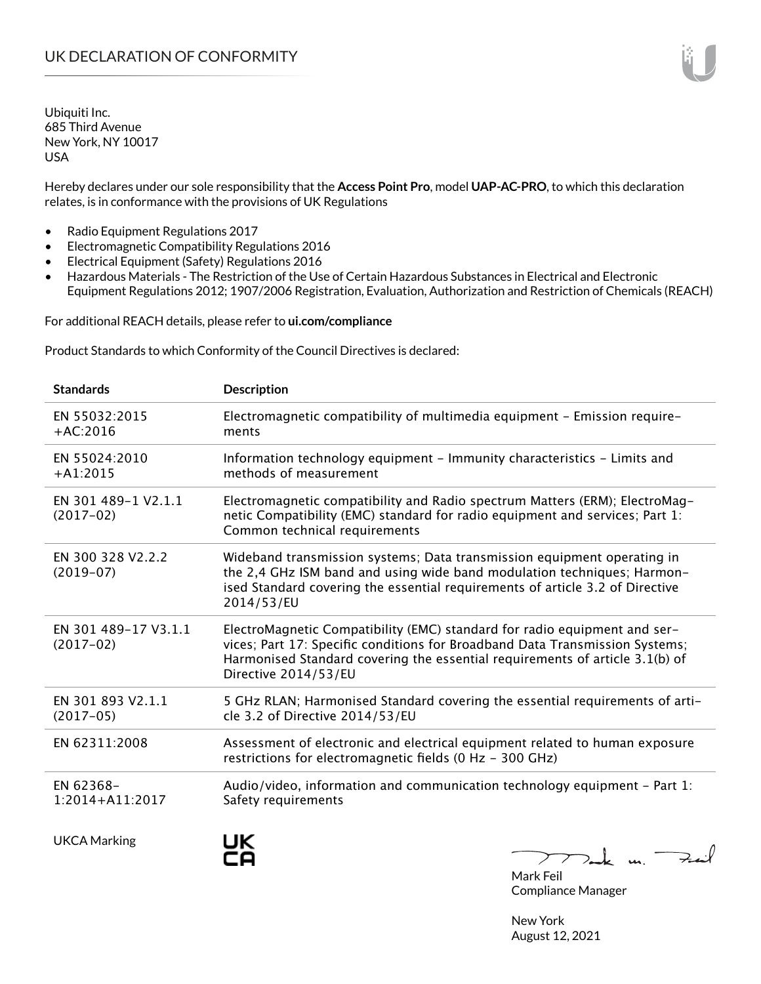Hereby declares under our sole responsibility that the **Access Point Pro**, model **UAP-AC-PRO**, to which this declaration relates, is in conformance with the provisions of UK Regulations

- Radio Equipment Regulations 2017
- Electromagnetic Compatibility Regulations 2016
- Electrical Equipment (Safety) Regulations 2016
- Hazardous Materials The Restriction of the Use of Certain Hazardous Substances in Electrical and Electronic Equipment Regulations 2012; 1907/2006 Registration, Evaluation, Authorization and Restriction of Chemicals (REACH)

For additional REACH details, please refer to **ui.com/compliance**

Product Standards to which Conformity of the Council Directives is declared:

| <b>Standards</b>                    | <b>Description</b>                                                                                                                                                                                                                                                |
|-------------------------------------|-------------------------------------------------------------------------------------------------------------------------------------------------------------------------------------------------------------------------------------------------------------------|
| EN 55032:2015<br>$+AC:2016$         | Electromagnetic compatibility of multimedia equipment - Emission require-<br>ments                                                                                                                                                                                |
| EN 55024:2010<br>$+A1:2015$         | Information technology equipment - Immunity characteristics - Limits and<br>methods of measurement                                                                                                                                                                |
| EN 301 489-1 V2.1.1<br>$(2017-02)$  | Electromagnetic compatibility and Radio spectrum Matters (ERM); ElectroMag-<br>netic Compatibility (EMC) standard for radio equipment and services; Part 1:<br>Common technical requirements                                                                      |
| EN 300 328 V2.2.2<br>$(2019-07)$    | Wideband transmission systems; Data transmission equipment operating in<br>the 2,4 GHz ISM band and using wide band modulation techniques; Harmon-<br>ised Standard covering the essential requirements of article 3.2 of Directive<br>2014/53/EU                 |
| EN 301 489-17 V3.1.1<br>$(2017-02)$ | ElectroMagnetic Compatibility (EMC) standard for radio equipment and ser-<br>vices; Part 17: Specific conditions for Broadband Data Transmission Systems;<br>Harmonised Standard covering the essential requirements of article 3.1(b) of<br>Directive 2014/53/EU |
| EN 301 893 V2.1.1<br>$(2017-05)$    | 5 GHz RLAN; Harmonised Standard covering the essential requirements of arti-<br>cle 3.2 of Directive 2014/53/EU                                                                                                                                                   |
| EN 62311:2008                       | Assessment of electronic and electrical equipment related to human exposure<br>restrictions for electromagnetic fields (0 Hz - 300 GHz)                                                                                                                           |
| EN 62368-<br>1:2014+A11:2017        | Audio/video, information and communication technology equipment - Part 1:<br>Safety requirements                                                                                                                                                                  |
| <b>UKCA Marking</b>                 | :А<br>$\sum$<br>$\mathbf{u}$                                                                                                                                                                                                                                      |

Mark Feil Compliance Manager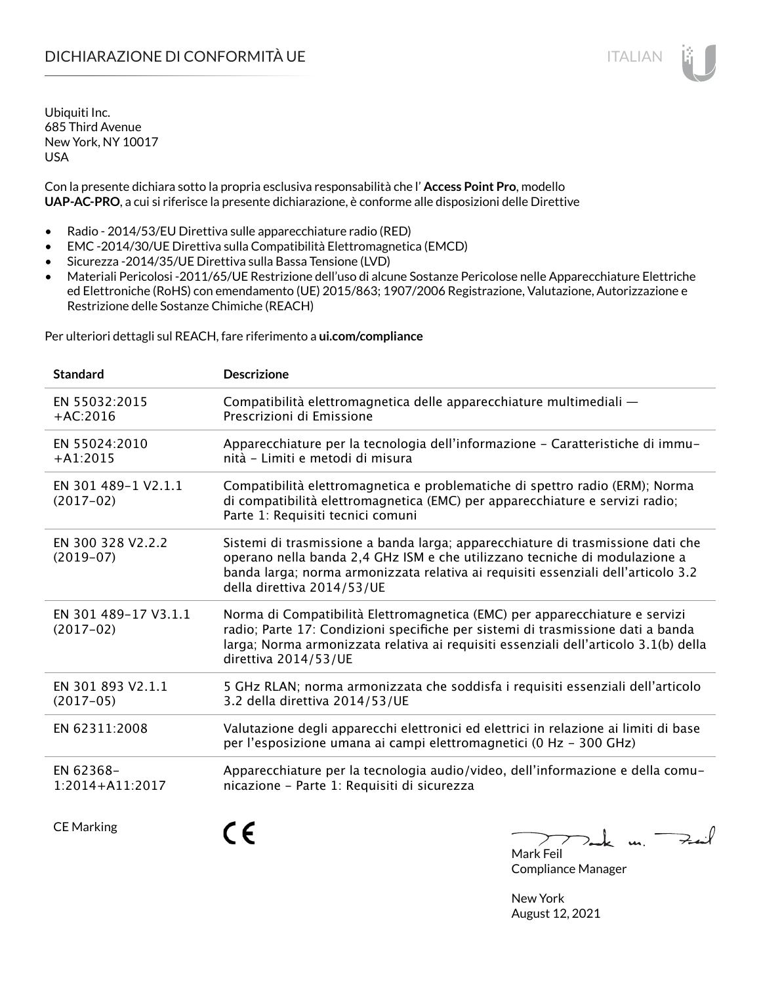# DICHIARAZIONE DI CONFORMITÀ UE ITALIAN ITALIAN

Ubiquiti Inc. 685 Third Avenue New York, NY 10017 USA

Con la presente dichiara sotto la propria esclusiva responsabilità che l' **Access Point Pro**, modello **UAP-AC-PRO**, a cui si riferisce la presente dichiarazione, è conforme alle disposizioni delle Direttive

- Radio 2014/53/EU Direttiva sulle apparecchiature radio (RED)
- EMC -2014/30/UE Direttiva sulla Compatibilità Elettromagnetica (EMCD)
- Sicurezza -2014/35/UE Direttiva sulla Bassa Tensione (LVD)
- Materiali Pericolosi -2011/65/UE Restrizione dell'uso di alcune Sostanze Pericolose nelle Apparecchiature Elettriche ed Elettroniche (RoHS) con emendamento (UE) 2015/863; 1907/2006 Registrazione, Valutazione, Autorizzazione e Restrizione delle Sostanze Chimiche (REACH)

Per ulteriori dettagli sul REACH, fare riferimento a **ui.com/compliance**

| <b>Standard</b>                     | <b>Descrizione</b>                                                                                                                                                                                                                                                               |
|-------------------------------------|----------------------------------------------------------------------------------------------------------------------------------------------------------------------------------------------------------------------------------------------------------------------------------|
| EN 55032:2015<br>$+AC:2016$         | Compatibilità elettromagnetica delle apparecchiature multimediali -<br>Prescrizioni di Emissione                                                                                                                                                                                 |
| EN 55024:2010<br>$+A1:2015$         | Apparecchiature per la tecnologia dell'informazione - Caratteristiche di immu-<br>nità - Limiti e metodi di misura                                                                                                                                                               |
| EN 301 489-1 V2.1.1<br>$(2017-02)$  | Compatibilità elettromagnetica e problematiche di spettro radio (ERM); Norma<br>di compatibilità elettromagnetica (EMC) per apparecchiature e servizi radio;<br>Parte 1: Requisiti tecnici comuni                                                                                |
| EN 300 328 V2.2.2<br>$(2019-07)$    | Sistemi di trasmissione a banda larga; apparecchiature di trasmissione dati che<br>operano nella banda 2,4 GHz ISM e che utilizzano tecniche di modulazione a<br>banda larga; norma armonizzata relativa ai requisiti essenziali dell'articolo 3.2<br>della direttiva 2014/53/UE |
| EN 301 489-17 V3.1.1<br>$(2017-02)$ | Norma di Compatibilità Elettromagnetica (EMC) per apparecchiature e servizi<br>radio; Parte 17: Condizioni specifiche per sistemi di trasmissione dati a banda<br>larga; Norma armonizzata relativa ai requisiti essenziali dell'articolo 3.1(b) della<br>direttiva 2014/53/UE   |
| EN 301 893 V2.1.1<br>$(2017-05)$    | 5 GHz RLAN; norma armonizzata che soddisfa i requisiti essenziali dell'articolo<br>3.2 della direttiva 2014/53/UE                                                                                                                                                                |
| EN 62311:2008                       | Valutazione degli apparecchi elettronici ed elettrici in relazione ai limiti di base<br>per l'esposizione umana ai campi elettromagnetici (0 Hz - 300 GHz)                                                                                                                       |
| EN 62368-<br>1:2014+A11:2017        | Apparecchiature per la tecnologia audio/video, dell'informazione e della comu-<br>nicazione - Parte 1: Requisiti di sicurezza                                                                                                                                                    |
| <b>CE Marking</b>                   | $\epsilon$                                                                                                                                                                                                                                                                       |

Tak m. Fait Mark Feil

Compliance Manager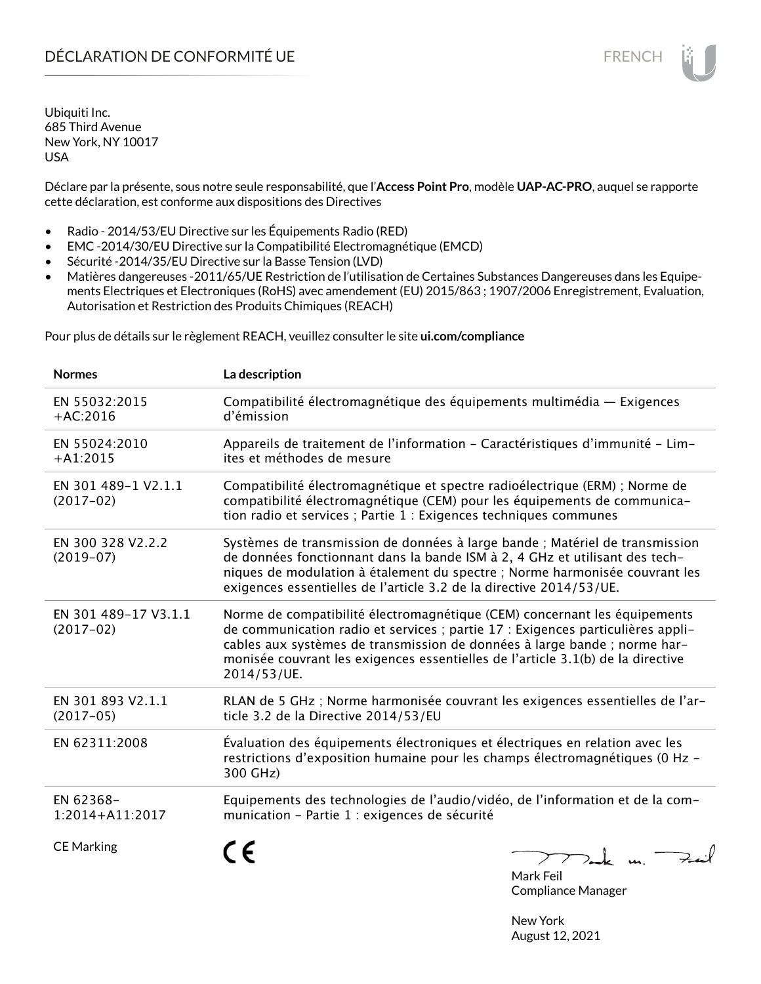# DÉCLARATION DE CONFORMITÉ UE FRENCH

Ubiquiti Inc. 685 Third Avenue New York, NY 10017 USA

Déclare par la présente, sous notre seule responsabilité, que l'**Access Point Pro**, modèle **UAP-AC-PRO**, auquel se rapporte cette déclaration, est conforme aux dispositions des Directives

- Radio 2014/53/EU Directive sur les Équipements Radio (RED)
- EMC -2014/30/EU Directive sur la Compatibilité Electromagnétique (EMCD)
- Sécurité -2014/35/EU Directive sur la Basse Tension (LVD)
- Matières dangereuses -2011/65/UE Restriction de l'utilisation de Certaines Substances Dangereuses dans les Equipements Electriques et Electroniques (RoHS) avec amendement (EU) 2015/863 ; 1907/2006 Enregistrement, Evaluation, Autorisation et Restriction des Produits Chimiques (REACH)

Pour plus de détails sur le règlement REACH, veuillez consulter le site **ui.com/compliance**

| <b>Normes</b>                       | La description                                                                                                                                                                                                                                                                                                                              |
|-------------------------------------|---------------------------------------------------------------------------------------------------------------------------------------------------------------------------------------------------------------------------------------------------------------------------------------------------------------------------------------------|
| EN 55032:2015<br>$+AC:2016$         | Compatibilité électromagnétique des équipements multimédia — Exigences<br>d'émission                                                                                                                                                                                                                                                        |
| EN 55024:2010<br>$+A1:2015$         | Appareils de traitement de l'information - Caractéristiques d'immunité - Lim-<br>ites et méthodes de mesure                                                                                                                                                                                                                                 |
| EN 301 489-1 V2.1.1<br>$(2017-02)$  | Compatibilité électromagnétique et spectre radioélectrique (ERM) ; Norme de<br>compatibilité électromagnétique (CEM) pour les équipements de communica-<br>tion radio et services ; Partie 1 : Exigences techniques communes                                                                                                                |
| EN 300 328 V2.2.2<br>$(2019-07)$    | Systèmes de transmission de données à large bande ; Matériel de transmission<br>de données fonctionnant dans la bande ISM à 2, 4 GHz et utilisant des tech-<br>niques de modulation à étalement du spectre ; Norme harmonisée couvrant les<br>exigences essentielles de l'article 3.2 de la directive 2014/53/UE.                           |
| EN 301 489-17 V3.1.1<br>$(2017-02)$ | Norme de compatibilité électromagnétique (CEM) concernant les équipements<br>de communication radio et services ; partie 17 : Exigences particulières appli-<br>cables aux systèmes de transmission de données à large bande ; norme har-<br>monisée couvrant les exigences essentielles de l'article 3.1(b) de la directive<br>2014/53/UE. |
| EN 301 893 V2.1.1<br>$(2017-05)$    | RLAN de 5 GHz ; Norme harmonisée couvrant les exigences essentielles de l'ar-<br>ticle 3.2 de la Directive 2014/53/EU                                                                                                                                                                                                                       |
| EN 62311:2008                       | Évaluation des équipements électroniques et électriques en relation avec les<br>restrictions d'exposition humaine pour les champs électromagnétiques (0 Hz -<br>300 GHz)                                                                                                                                                                    |
| EN 62368-<br>1:2014+A11:2017        | Equipements des technologies de l'audio/vidéo, de l'information et de la com-<br>munication - Partie 1 : exigences de sécurité                                                                                                                                                                                                              |
| <b>CE Marking</b>                   | mak m. Fail                                                                                                                                                                                                                                                                                                                                 |

Mark Feil Compliance Manager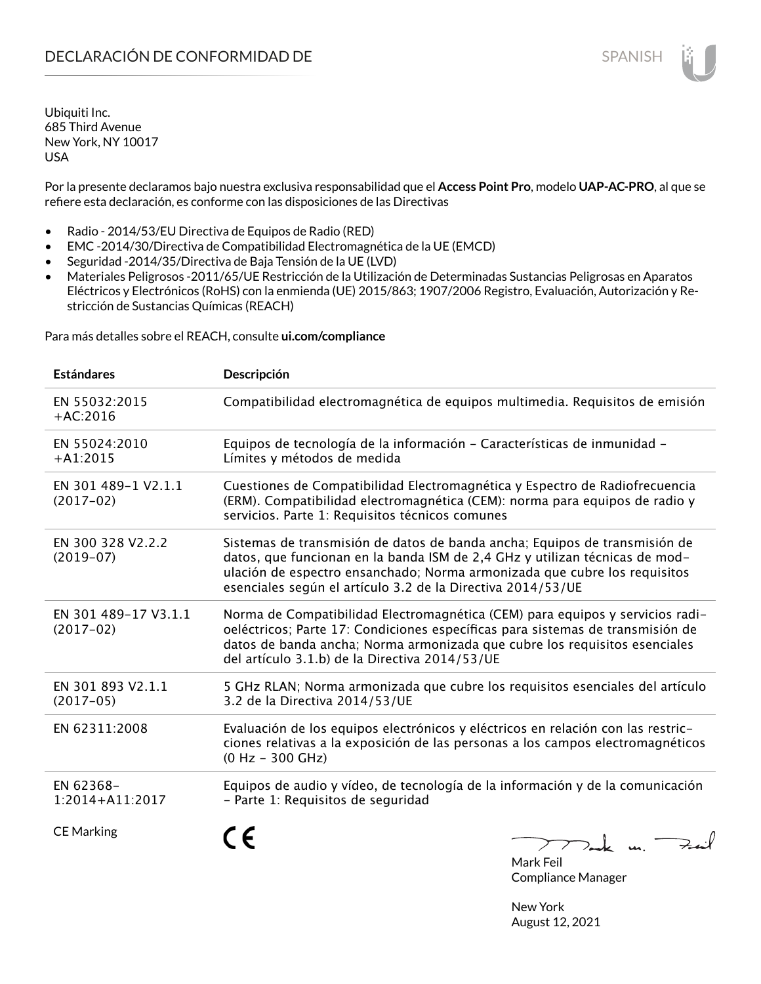Por la presente declaramos bajo nuestra exclusiva responsabilidad que el **Access Point Pro**, modelo **UAP-AC-PRO**, al que se refiere esta declaración, es conforme con las disposiciones de las Directivas

- Radio 2014/53/EU Directiva de Equipos de Radio (RED)
- EMC -2014/30/Directiva de Compatibilidad Electromagnética de la UE (EMCD)
- Seguridad -2014/35/Directiva de Baja Tensión de la UE (LVD)
- Materiales Peligrosos -2011/65/UE Restricción de la Utilización de Determinadas Sustancias Peligrosas en Aparatos Eléctricos y Electrónicos (RoHS) con la enmienda (UE) 2015/863; 1907/2006 Registro, Evaluación, Autorización y Restricción de Sustancias Químicas (REACH)

Para más detalles sobre el REACH, consulte **ui.com/compliance**

| <b>Estándares</b>                   | Descripción                                                                                                                                                                                                                                                                                           |
|-------------------------------------|-------------------------------------------------------------------------------------------------------------------------------------------------------------------------------------------------------------------------------------------------------------------------------------------------------|
| EN 55032:2015<br>$+AC:2016$         | Compatibilidad electromagnética de equipos multimedia. Requisitos de emisión                                                                                                                                                                                                                          |
| EN 55024:2010<br>$+A1:2015$         | Equipos de tecnología de la información - Características de inmunidad -<br>Límites y métodos de medida                                                                                                                                                                                               |
| EN 301 489-1 V2.1.1<br>$(2017-02)$  | Cuestiones de Compatibilidad Electromagnética y Espectro de Radiofrecuencia<br>(ERM). Compatibilidad electromagnética (CEM): norma para equipos de radio y<br>servicios. Parte 1: Requisitos técnicos comunes                                                                                         |
| EN 300 328 V2.2.2<br>$(2019-07)$    | Sistemas de transmisión de datos de banda ancha; Equipos de transmisión de<br>datos, que funcionan en la banda ISM de 2,4 GHz y utilizan técnicas de mod-<br>ulación de espectro ensanchado; Norma armonizada que cubre los requisitos<br>esenciales según el artículo 3.2 de la Directiva 2014/53/UE |
| EN 301 489-17 V3.1.1<br>$(2017-02)$ | Norma de Compatibilidad Electromagnética (CEM) para equipos y servicios radi-<br>oeléctricos; Parte 17: Condiciones específicas para sistemas de transmisión de<br>datos de banda ancha; Norma armonizada que cubre los requisitos esenciales<br>del artículo 3.1.b) de la Directiva 2014/53/UE       |
| EN 301 893 V2.1.1<br>$(2017-05)$    | 5 GHz RLAN; Norma armonizada que cubre los requisitos esenciales del artículo<br>3.2 de la Directiva 2014/53/UE                                                                                                                                                                                       |
| EN 62311:2008                       | Evaluación de los equipos electrónicos y eléctricos en relación con las restric-<br>ciones relativas a la exposición de las personas a los campos electromagnéticos<br>$(0 Hz - 300 GHz)$                                                                                                             |
| EN 62368-<br>1:2014+A11:2017        | Equipos de audio y vídeo, de tecnología de la información y de la comunicación<br>- Parte 1: Requisitos de seguridad                                                                                                                                                                                  |
| <b>CE Marking</b>                   | Thank un Fait                                                                                                                                                                                                                                                                                         |

Mark Feil Compliance Manager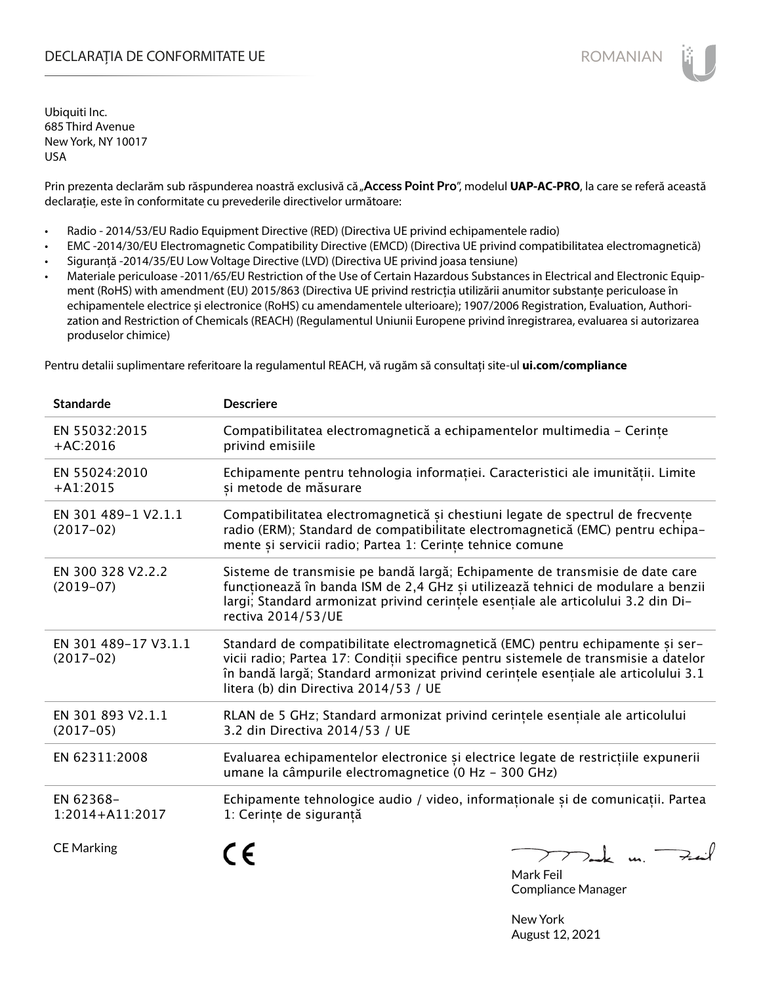# DECLARAȚIA DE CONFORMITATE UE EXECUTE DE ROMANIAN

Ubiquiti Inc. 685 Third Avenue New York, NY 10017 USA

Prin prezenta declarăm sub răspunderea noastră exclusivă că "**Access Point Pro**", modelul **UAP-AC-PRO**, la care se referă această declarație, este în conformitate cu prevederile directivelor următoare:

- Radio 2014/53/EU Radio Equipment Directive (RED) (Directiva UE privind echipamentele radio)
- EMC -2014/30/EU Electromagnetic Compatibility Directive (EMCD) (Directiva UE privind compatibilitatea electromagnetică)
- Siguranță -2014/35/EU Low Voltage Directive (LVD) (Directiva UE privind joasa tensiune)
- Materiale periculoase -2011/65/EU Restriction of the Use of Certain Hazardous Substances in Electrical and Electronic Equipment (RoHS) with amendment (EU) 2015/863 (Directiva UE privind restricția utilizării anumitor substanțe periculoase în echipamentele electrice și electronice (RoHS) cu amendamentele ulterioare); 1907/2006 Registration, Evaluation, Authorization and Restriction of Chemicals (REACH) (Regulamentul Uniunii Europene privind înregistrarea, evaluarea si autorizarea produselor chimice)

Pentru detalii suplimentare referitoare la regulamentul REACH, vă rugăm să consultați site-ul **ui.com/compliance**

| <b>Standarde</b>                    | <b>Descriere</b>                                                                                                                                                                                                                                                                                    |
|-------------------------------------|-----------------------------------------------------------------------------------------------------------------------------------------------------------------------------------------------------------------------------------------------------------------------------------------------------|
| EN 55032:2015<br>$+AC:2016$         | Compatibilitatea electromagnetică a echipamentelor multimedia - Cerințe<br>privind emisiile                                                                                                                                                                                                         |
| EN 55024:2010<br>$+A1:2015$         | Echipamente pentru tehnologia informației. Caracteristici ale imunității. Limite<br>și metode de măsurare                                                                                                                                                                                           |
| EN 301 489-1 V2.1.1<br>$(2017-02)$  | Compatibilitatea electromagnetică și chestiuni legate de spectrul de frecvențe<br>radio (ERM); Standard de compatibilitate electromagnetică (EMC) pentru echipa-<br>mente și servicii radio; Partea 1: Cerințe tehnice comune                                                                       |
| EN 300 328 V2.2.2<br>$(2019-07)$    | Sisteme de transmisie pe bandă largă; Echipamente de transmisie de date care<br>funcționează în banda ISM de 2,4 GHz și utilizează tehnici de modulare a benzii<br>largi; Standard armonizat privind cerințele esențiale ale articolului 3.2 din Di-<br>rectiva 2014/53/UE                          |
| EN 301 489-17 V3.1.1<br>$(2017-02)$ | Standard de compatibilitate electromagnetică (EMC) pentru echipamente și ser-<br>vicii radio; Partea 17: Condiții specifice pentru sistemele de transmisie a datelor<br>în bandă largă; Standard armonizat privind cerințele esențiale ale articolului 3.1<br>litera (b) din Directiva 2014/53 / UE |
| EN 301 893 V2.1.1<br>$(2017-05)$    | RLAN de 5 GHz; Standard armonizat privind cerințele esențiale ale articolului<br>3.2 din Directiva 2014/53 / UE                                                                                                                                                                                     |
| EN 62311:2008                       | Evaluarea echipamentelor electronice și electrice legate de restricțiile expunerii<br>umane la câmpurile electromagnetice (0 Hz - 300 GHz)                                                                                                                                                          |
| EN 62368-<br>1:2014+A11:2017        | Echipamente tehnologice audio / video, informaționale și de comunicații. Partea<br>1: Cerințe de siguranță                                                                                                                                                                                          |
| <b>CE Marking</b>                   | mak m. Fait                                                                                                                                                                                                                                                                                         |

Mark Feil Compliance Manager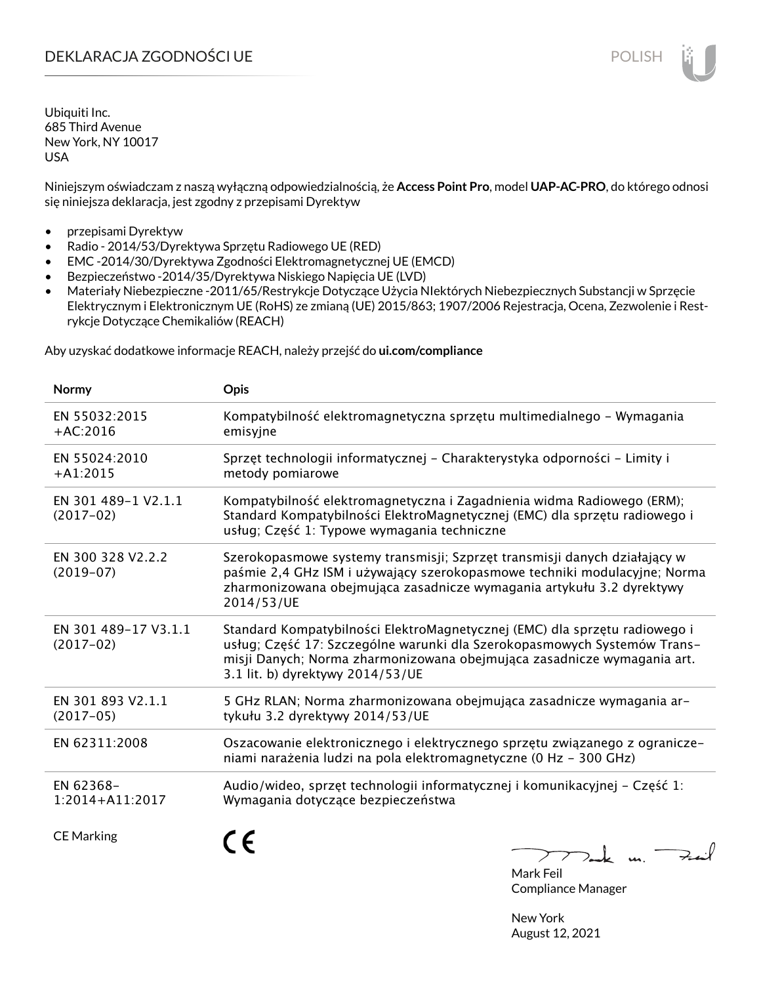Niniejszym oświadczam z naszą wyłączną odpowiedzialnością, że **Access Point Pro**, model **UAP-AC-PRO**, do którego odnosi się niniejsza deklaracja, jest zgodny z przepisami Dyrektyw

- przepisami Dyrektyw
- Radio 2014/53/Dyrektywa Sprzętu Radiowego UE (RED)
- EMC -2014/30/Dyrektywa Zgodności Elektromagnetycznej UE (EMCD)
- Bezpieczeństwo -2014/35/Dyrektywa Niskiego Napięcia UE (LVD)
- Materiały Niebezpieczne -2011/65/Restrykcje Dotyczące Użycia NIektórych Niebezpiecznych Substancji w Sprzęcie Elektrycznym i Elektronicznym UE (RoHS) ze zmianą (UE) 2015/863; 1907/2006 Rejestracja, Ocena, Zezwolenie i Restrykcje Dotyczące Chemikaliów (REACH)

Aby uzyskać dodatkowe informacje REACH, należy przejść do **ui.com/compliance**

| Normy                               | Opis                                                                                                                                                                                                                                                                  |
|-------------------------------------|-----------------------------------------------------------------------------------------------------------------------------------------------------------------------------------------------------------------------------------------------------------------------|
| EN 55032:2015<br>$+AC:2016$         | Kompatybilność elektromagnetyczna sprzętu multimedialnego – Wymagania<br>emisyjne                                                                                                                                                                                     |
| EN 55024:2010<br>$+A1:2015$         | Sprzęt technologii informatycznej - Charakterystyka odporności - Limity i<br>metody pomiarowe                                                                                                                                                                         |
| EN 301 489-1 V2.1.1<br>$(2017-02)$  | Kompatybilność elektromagnetyczna i Zagadnienia widma Radiowego (ERM);<br>Standard Kompatybilności ElektroMagnetycznej (EMC) dla sprzętu radiowego i<br>usług; Część 1: Typowe wymagania techniczne                                                                   |
| EN 300 328 V2.2.2<br>$(2019-07)$    | Szerokopasmowe systemy transmisji; Szprzęt transmisji danych działający w<br>paśmie 2,4 GHz ISM i używający szerokopasmowe techniki modulacyjne; Norma<br>zharmonizowana obejmująca zasadnicze wymagania artykułu 3.2 dyrektywy<br>2014/53/UE                         |
| EN 301 489-17 V3.1.1<br>$(2017-02)$ | Standard Kompatybilności ElektroMagnetycznej (EMC) dla sprzętu radiowego i<br>usług; Część 17: Szczególne warunki dla Szerokopasmowych Systemów Trans-<br>misji Danych; Norma zharmonizowana obejmująca zasadnicze wymagania art.<br>3.1 lit. b) dyrektywy 2014/53/UE |
| EN 301 893 V2.1.1<br>$(2017-05)$    | 5 GHz RLAN; Norma zharmonizowana obejmująca zasadnicze wymagania ar-<br>tykułu 3.2 dyrektywy 2014/53/UE                                                                                                                                                               |
| EN 62311:2008                       | Oszacowanie elektronicznego i elektrycznego sprzętu związanego z ogranicze-<br>niami narażenia ludzi na pola elektromagnetyczne (0 Hz - 300 GHz)                                                                                                                      |
| EN 62368-<br>$1:2014 + A11:2017$    | Audio/wideo, sprzęt technologii informatycznej i komunikacyjnej – Część 1:<br>Wymagania dotyczące bezpieczeństwa                                                                                                                                                      |
| <b>CE Marking</b>                   | $>$ ak m. $-$<br>$\overline{\phantom{0}}$                                                                                                                                                                                                                             |

Mark Feil Compliance Manager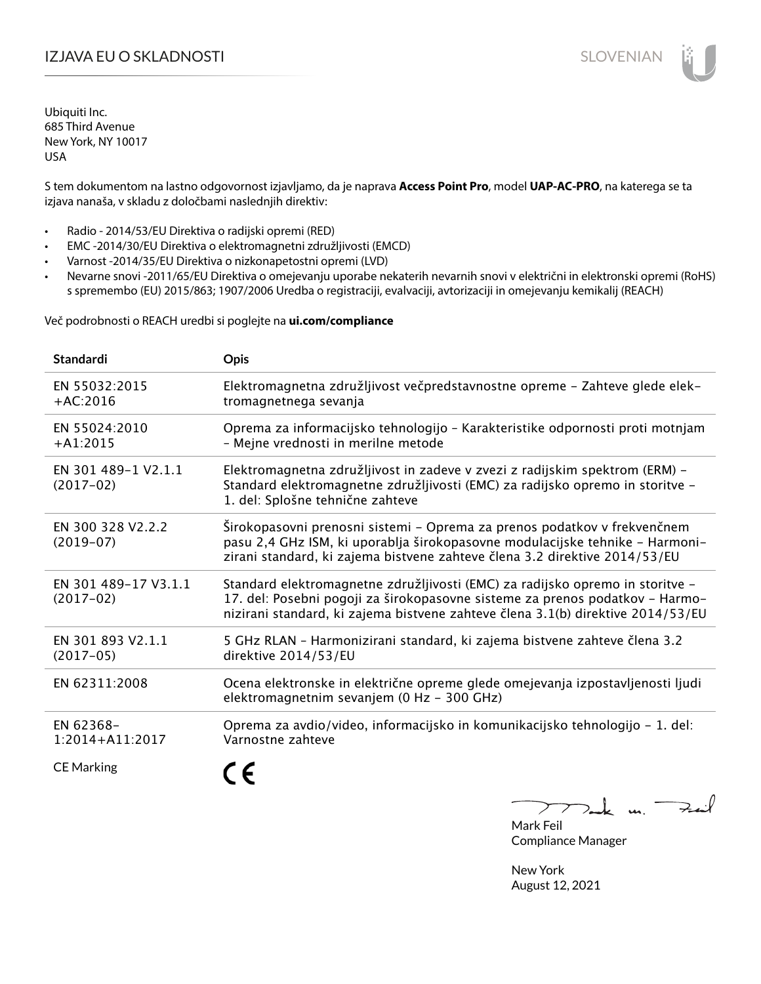# IZJAVA EU O SKLADNOSTI SLOVENIAN

Ubiquiti Inc. 685 Third Avenue New York, NY 10017 USA

S tem dokumentom na lastno odgovornost izjavljamo, da je naprava **Access Point Pro**, model **UAP-AC-PRO**, na katerega se ta izjava nanaša, v skladu z določbami naslednjih direktiv:

- Radio 2014/53/EU Direktiva o radijski opremi (RED)
- EMC -2014/30/EU Direktiva o elektromagnetni združljivosti (EMCD)
- Varnost -2014/35/EU Direktiva o nizkonapetostni opremi (LVD)
- Nevarne snovi -2011/65/EU Direktiva o omejevanju uporabe nekaterih nevarnih snovi v električni in elektronski opremi (RoHS) s spremembo (EU) 2015/863; 1907/2006 Uredba o registraciji, evalvaciji, avtorizaciji in omejevanju kemikalij (REACH)

Več podrobnosti o REACH uredbi si poglejte na **ui.com/compliance**

| <b>Standardi</b>                    | Opis                                                                                                                                                                                                                                             |
|-------------------------------------|--------------------------------------------------------------------------------------------------------------------------------------------------------------------------------------------------------------------------------------------------|
| EN 55032:2015<br>$+AC:2016$         | Elektromagnetna združljivost večpredstavnostne opreme - Zahteve glede elek-<br>tromagnetnega sevanja                                                                                                                                             |
| EN 55024:2010<br>$+A1:2015$         | Oprema za informacijsko tehnologijo - Karakteristike odpornosti proti motnjam<br>- Mejne vrednosti in merilne metode                                                                                                                             |
| EN 301 489-1 V2.1.1<br>$(2017-02)$  | Elektromagnetna združljivost in zadeve v zvezi z radijskim spektrom (ERM) -<br>Standard elektromagnetne združljivosti (EMC) za radijsko opremo in storitve -<br>1. del: Splošne tehnične zahteve                                                 |
| EN 300 328 V2.2.2<br>$(2019-07)$    | Širokopasovni prenosni sistemi - Oprema za prenos podatkov v frekvenčnem<br>pasu 2,4 GHz ISM, ki uporablja širokopasovne modulacijske tehnike - Harmoni-<br>zirani standard, ki zajema bistvene zahteve člena 3.2 direktive 2014/53/EU           |
| EN 301 489-17 V3.1.1<br>$(2017-02)$ | Standard elektromagnetne združljivosti (EMC) za radijsko opremo in storitve -<br>17. del: Posebni pogoji za širokopasovne sisteme za prenos podatkov - Harmo-<br>nizirani standard, ki zajema bistvene zahteve člena 3.1(b) direktive 2014/53/EU |
| EN 301 893 V2.1.1<br>$(2017-05)$    | 5 GHz RLAN - Harmonizirani standard, ki zajema bistvene zahteve člena 3.2<br>direktive 2014/53/EU                                                                                                                                                |
| EN 62311:2008                       | Ocena elektronske in električne opreme glede omejevanja izpostavljenosti ljudi<br>elektromagnetnim sevanjem (0 Hz - 300 GHz)                                                                                                                     |
| EN 62368-<br>$1:2014 + A11:2017$    | Oprema za avdio/video, informacijsko in komunikacijsko tehnologijo – 1. del:<br>Varnostne zahteve                                                                                                                                                |
| <b>CE Marking</b>                   |                                                                                                                                                                                                                                                  |

Tak un Fail  $\triangleright$ 

Mark Feil Compliance Manager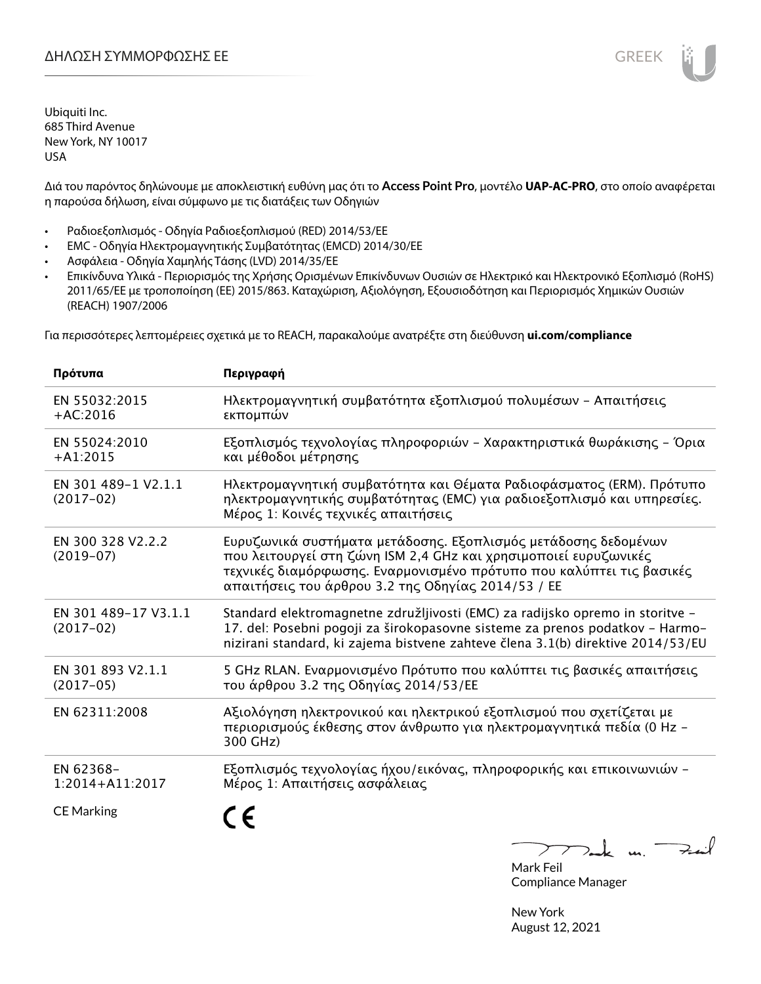Διά του παρόντος δηλώνουμε με αποκλειστική ευθύνη μας ότι το **Access Point Pro**, μοντέλο **UAP-AC-PRO**, στο οποίο αναφέρεται η παρούσα δήλωση, είναι σύμφωνο με τις διατάξεις των Οδηγιών

- Ραδιοεξοπλισμός Οδηγία Ραδιοεξοπλισμού (RED) 2014/53/ΕΕ
- EMC Οδηγία Ηλεκτρομαγνητικής Συμβατότητας (EMCD) 2014/30/ΕΕ
- Ασφάλεια Οδηγία Χαμηλής Τάσης (LVD) 2014/35/ΕΕ
- Επικίνδυνα Υλικά Περιορισμός της Χρήσης Ορισμένων Επικίνδυνων Ουσιών σε Ηλεκτρικό και Ηλεκτρονικό Εξοπλισμό (RoHS) 2011/65/ΕΕ με τροποποίηση (ΕΕ) 2015/863. Καταχώριση, Αξιολόγηση, Εξουσιοδότηση και Περιορισμός Χημικών Ουσιών (REACH) 1907/2006

Για περισσότερες λεπτομέρειες σχετικά με το REACH, παρακαλούμε ανατρέξτε στη διεύθυνση **ui.com/compliance**

| Πρότυπα                             | Περιγραφή                                                                                                                                                                                                                                                        |
|-------------------------------------|------------------------------------------------------------------------------------------------------------------------------------------------------------------------------------------------------------------------------------------------------------------|
| EN 55032:2015<br>$+AC:2016$         | Ηλεκτρομαγνητική συμβατότητα εξοπλισμού πολυμέσων - Απαιτήσεις<br>εκπομπών                                                                                                                                                                                       |
| EN 55024:2010<br>$+A1:2015$         | Εξοπλισμός τεχνολογίας πληροφοριών - Χαρακτηριστικά θωράκισης - Όρια<br>και μέθοδοι μέτρησης                                                                                                                                                                     |
| EN 301 489-1 V2.1.1<br>$(2017-02)$  | Ηλεκτρομαγνητική συμβατότητα και Θέματα Ραδιοφάσματος (ERM). Πρότυπο<br>ηλεκτρομαγνητικής συμβατότητας (ΕΜC) για ραδιοεξοπλισμό και υπηρεσίες.<br>Μέρος 1: Κοινές τεχνικές απαιτήσεις                                                                            |
| EN 300 328 V2.2.2<br>$(2019-07)$    | Ευρυζωνικά συστήματα μετάδοσης. Εξοπλισμός μετάδοσης δεδομένων<br>που λειτουργεί στη ζώνη ISM 2,4 GHz και χρησιμοποιεί ευρυζωνικές<br>τεχνικές διαμόρφωσης. Εναρμονισμένο πρότυπο που καλύπτει τις βασικές<br>απαιτήσεις του άρθρου 3.2 της Οδηγίας 2014/53 / ΕΕ |
| EN 301 489-17 V3.1.1<br>$(2017-02)$ | Standard elektromagnetne združljivosti (EMC) za radijsko opremo in storitve -<br>17. del: Posebni pogoji za širokopasovne sisteme za prenos podatkov - Harmo-<br>nizirani standard, ki zajema bistvene zahteve člena 3.1(b) direktive 2014/53/EU                 |
| EN 301 893 V2.1.1<br>$(2017-05)$    | 5 GHz RLAN. Εναρμονισμένο Πρότυπο που καλύπτει τις βασικές απαιτήσεις<br>του άρθρου 3.2 της Οδηγίας 2014/53/ΕΕ                                                                                                                                                   |
| EN 62311:2008                       | Αξιολόγηση ηλεκτρονικού και ηλεκτρικού εξοπλισμού που σχετίζεται με<br>περιορισμούς έκθεσης στον άνθρωπο για ηλεκτρομαγνητικά πεδία (0 Hz -<br>300 GHz)                                                                                                          |
| EN 62368-<br>$1:2014 + A11:2017$    | Εξοπλισμός τεχνολογίας ήχου/εικόνας, πληροφορικής και επικοινωνιών -<br>Μέρος 1: Απαιτήσεις ασφάλειας                                                                                                                                                            |
| <b>CE Marking</b>                   |                                                                                                                                                                                                                                                                  |

Tak m. Fail Mark Feil

Compliance Manager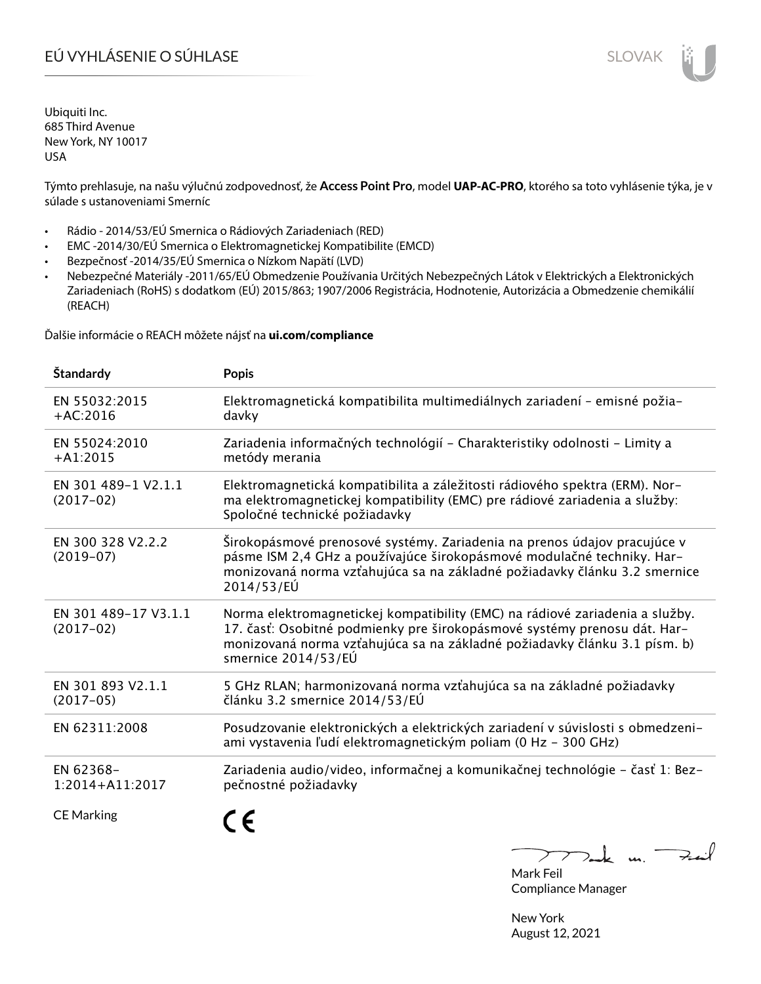# EÚ VYHLÁSENIE O SÚHLASE SLOVAK SLOVAK

Ubiquiti Inc. 685 Third Avenue New York, NY 10017 USA

Týmto prehlasuje, na našu výlučnú zodpovednosť, že **Access Point Pro**, model **UAP-AC-PRO**, ktorého sa toto vyhlásenie týka, je v súlade s ustanoveniami Smerníc

- Rádio 2014/53/EÚ Smernica o Rádiových Zariadeniach (RED)
- EMC -2014/30/EÚ Smernica o Elektromagnetickej Kompatibilite (EMCD)
- Bezpečnosť -2014/35/EÚ Smernica o Nízkom Napätí (LVD)
- Nebezpečné Materiály -2011/65/EÚ Obmedzenie Používania Určitých Nebezpečných Látok v Elektrických a Elektronických Zariadeniach (RoHS) s dodatkom (EÚ) 2015/863; 1907/2006 Registrácia, Hodnotenie, Autorizácia a Obmedzenie chemikálií (REACH)

Ďalšie informácie o REACH môžete nájsť na **ui.com/compliance**

| <b>Standardy</b>                    | <b>Popis</b>                                                                                                                                                                                                                                                 |
|-------------------------------------|--------------------------------------------------------------------------------------------------------------------------------------------------------------------------------------------------------------------------------------------------------------|
| EN 55032:2015<br>$+AC:2016$         | Elektromagnetická kompatibilita multimediálnych zariadení - emisné požia-<br>davky                                                                                                                                                                           |
| EN 55024:2010<br>$+A1:2015$         | Zariadenia informačných technológií - Charakteristiky odolnosti - Limity a<br>metódy merania                                                                                                                                                                 |
| EN 301 489-1 V2.1.1<br>$(2017-02)$  | Elektromagnetická kompatibilita a záležitosti rádiového spektra (ERM). Nor-<br>ma elektromagnetickej kompatibility (EMC) pre rádiové zariadenia a služby:<br>Spoločné technické požiadavky                                                                   |
| EN 300 328 V2.2.2<br>$(2019-07)$    | Širokopásmové prenosové systémy. Zariadenia na prenos údajov pracujúce v<br>pásme ISM 2,4 GHz a používajúce širokopásmové modulačné techniky. Har-<br>monizovaná norma vzťahujúca sa na základné požiadavky článku 3.2 smernice<br>2014/53/EÚ                |
| EN 301 489-17 V3.1.1<br>$(2017-02)$ | Norma elektromagnetickej kompatibility (EMC) na rádiové zariadenia a služby.<br>17. časť: Osobitné podmienky pre širokopásmové systémy prenosu dát. Har-<br>monizovaná norma vzťahujúca sa na základné požiadavky článku 3.1 písm. b)<br>smernice 2014/53/EÚ |
| EN 301 893 V2.1.1<br>$(2017-05)$    | 5 GHz RLAN; harmonizovaná norma vzťahujúca sa na základné požiadavky<br>článku 3.2 smernice 2014/53/EÚ                                                                                                                                                       |
| EN 62311:2008                       | Posudzovanie elektronických a elektrických zariadení v súvislosti s obmedzeni-<br>ami vystavenia ľudí elektromagnetickým poliam (0 Hz - 300 GHz)                                                                                                             |
| EN 62368-<br>$1:2014+A11:2017$      | Zariadenia audio/video, informačnej a komunikačnej technológie - časť 1: Bez-<br>pečnostné požiadavky                                                                                                                                                        |
| <b>CE Marking</b>                   |                                                                                                                                                                                                                                                              |

 $k$  m. Fail  $\sum_{k=1}^{n}$  $\sum$ 

Mark Feil Compliance Manager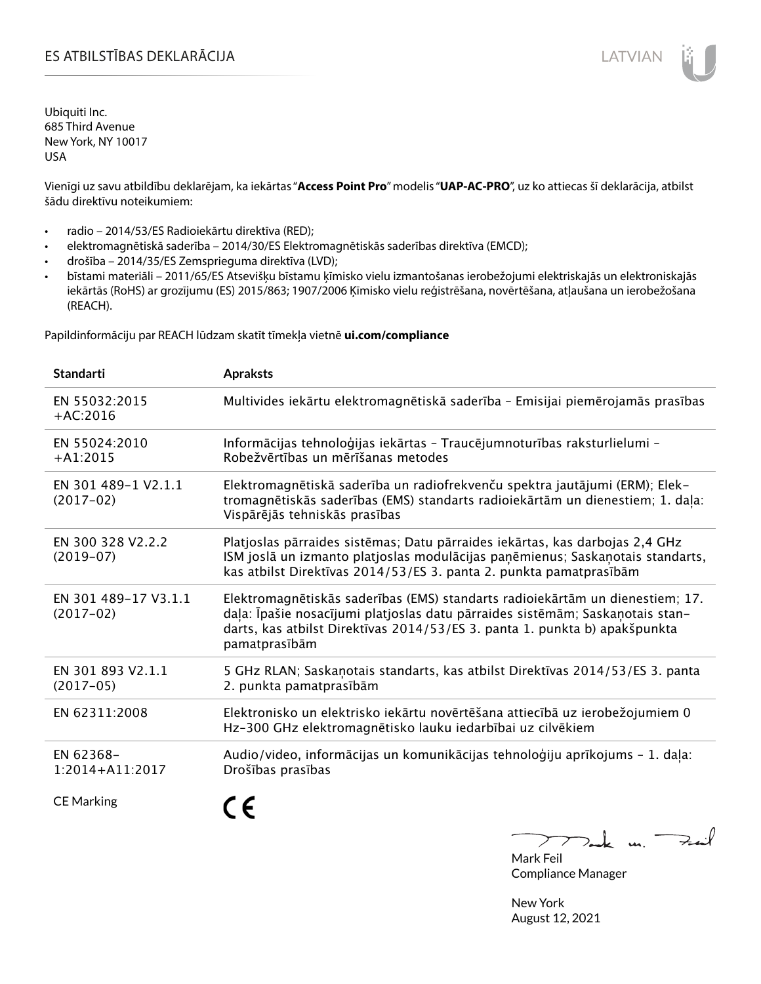# ES ATBILSTĪBAS DEKLARĀCIJA LATVIAN

Ubiquiti Inc. 685 Third Avenue New York, NY 10017 USA

Vienīgi uz savu atbildību deklarējam, ka iekārtas "**Access Point Pro**" modelis "**UAP-AC-PRO**", uz ko attiecas šī deklarācija, atbilst šādu direktīvu noteikumiem:

- radio 2014/53/ES Radioiekārtu direktīva (RED);
- elektromagnētiskā saderība 2014/30/ES Elektromagnētiskās saderības direktīva (EMCD);
- drošība 2014/35/ES Zemsprieguma direktīva (LVD);
- bīstami materiāli 2011/65/ES Atsevišķu bīstamu ķīmisko vielu izmantošanas ierobežojumi elektriskajās un elektroniskajās iekārtās (RoHS) ar grozījumu (ES) 2015/863; 1907/2006 Ķīmisko vielu reģistrēšana, novērtēšana, atļaušana un ierobežošana (REACH).

Papildinformāciju par REACH lūdzam skatīt tīmekļa vietnē **ui.com/compliance**

| <b>Standarti</b>                    | <b>Apraksts</b>                                                                                                                                                                                                                                               |
|-------------------------------------|---------------------------------------------------------------------------------------------------------------------------------------------------------------------------------------------------------------------------------------------------------------|
| EN 55032:2015<br>$+AC:2016$         | Multivides iekārtu elektromagnētiskā saderība - Emisijai piemērojamās prasības                                                                                                                                                                                |
| EN 55024:2010<br>$+A1:2015$         | Informācijas tehnoloģijas iekārtas - Traucējumnoturības raksturlielumi -<br>Robežvērtības un mērīšanas metodes                                                                                                                                                |
| EN 301 489-1 V2.1.1<br>$(2017-02)$  | Elektromagnētiskā saderība un radiofrekvenču spektra jautājumi (ERM); Elek-<br>tromagnētiskās saderības (EMS) standarts radioiekārtām un dienestiem; 1. daļa:<br>Vispārējās tehniskās prasības                                                                |
| EN 300 328 V2.2.2<br>$(2019-07)$    | Platjoslas pārraides sistēmas; Datu pārraides iekārtas, kas darbojas 2,4 GHz<br>ISM joslā un izmanto platjoslas modulācijas paņēmienus; Saskaņotais standarts,<br>kas atbilst Direktīvas 2014/53/ES 3. panta 2. punkta pamatprasībām                          |
| EN 301 489-17 V3.1.1<br>$(2017-02)$ | Elektromagnētiskās saderības (EMS) standarts radioiekārtām un dienestiem; 17.<br>daļa: Īpašie nosacījumi platjoslas datu pārraides sistēmām; Saskaņotais stan-<br>darts, kas atbilst Direktīvas 2014/53/ES 3. panta 1. punkta b) apakšpunkta<br>pamatprasībām |
| EN 301 893 V2.1.1<br>$(2017-05)$    | 5 GHz RLAN; Saskaņotais standarts, kas atbilst Direktīvas 2014/53/ES 3. panta<br>2. punkta pamatprasībām                                                                                                                                                      |
| EN 62311:2008                       | Elektronisko un elektrisko iekārtu novērtēšana attiecībā uz ierobežojumiem 0<br>Hz-300 GHz elektromagnētisko lauku iedarbībai uz cilvēkiem                                                                                                                    |
| EN 62368-<br>1:2014+A11:2017        | Audio/video, informācijas un komunikācijas tehnoloģiju aprīkojums - 1. daļa:<br>Drošības prasības                                                                                                                                                             |
| <b>CE Marking</b>                   |                                                                                                                                                                                                                                                               |

 $\downarrow$  u. Fail  $\geq$ 

Mark Feil Compliance Manager